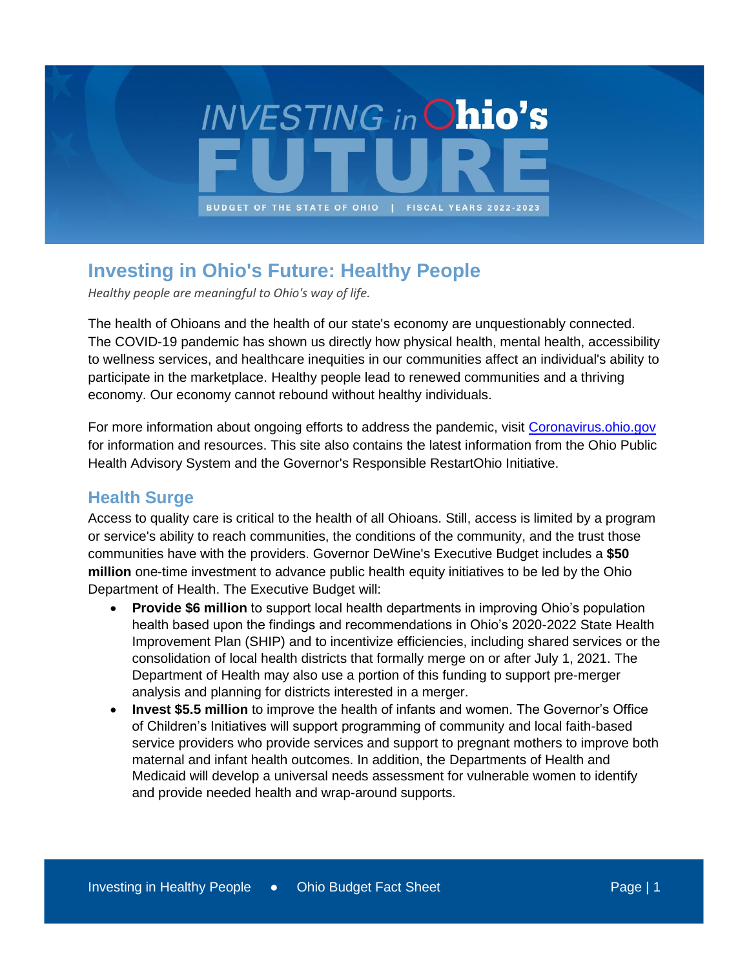

# **Investing in Ohio's Future: Healthy People**

*Healthy people are meaningful to Ohio's way of life.*

The health of Ohioans and the health of our state's economy are unquestionably connected. The COVID-19 pandemic has shown us directly how physical health, mental health, accessibility to wellness services, and healthcare inequities in our communities affect an individual's ability to participate in the marketplace. Healthy people lead to renewed communities and a thriving economy. Our economy cannot rebound without healthy individuals.

For more information about ongoing efforts to address the pandemic, visit [Coronavirus.ohio.gov](https://coronavirus.ohio.gov/wps/portal/gov/covid-19/home) for information and resources. This site also contains the latest information from the Ohio Public Health Advisory System and the Governor's Responsible RestartOhio Initiative.

### **Health Surge**

Access to quality care is critical to the health of all Ohioans. Still, access is limited by a program or service's ability to reach communities, the conditions of the community, and the trust those communities have with the providers. Governor DeWine's Executive Budget includes a **\$50 million** one-time investment to advance public health equity initiatives to be led by the Ohio Department of Health. The Executive Budget will:

- **Provide \$6 million** to support local health departments in improving Ohio's population health based upon the findings and recommendations in Ohio's 2020-2022 State Health Improvement Plan (SHIP) and to incentivize efficiencies, including shared services or the consolidation of local health districts that formally merge on or after July 1, 2021. The Department of Health may also use a portion of this funding to support pre-merger analysis and planning for districts interested in a merger.
- **Invest \$5.5 million** to improve the health of infants and women. The Governor's Office of Children's Initiatives will support programming of community and local faith-based service providers who provide services and support to pregnant mothers to improve both maternal and infant health outcomes. In addition, the Departments of Health and Medicaid will develop a universal needs assessment for vulnerable women to identify and provide needed health and wrap-around supports.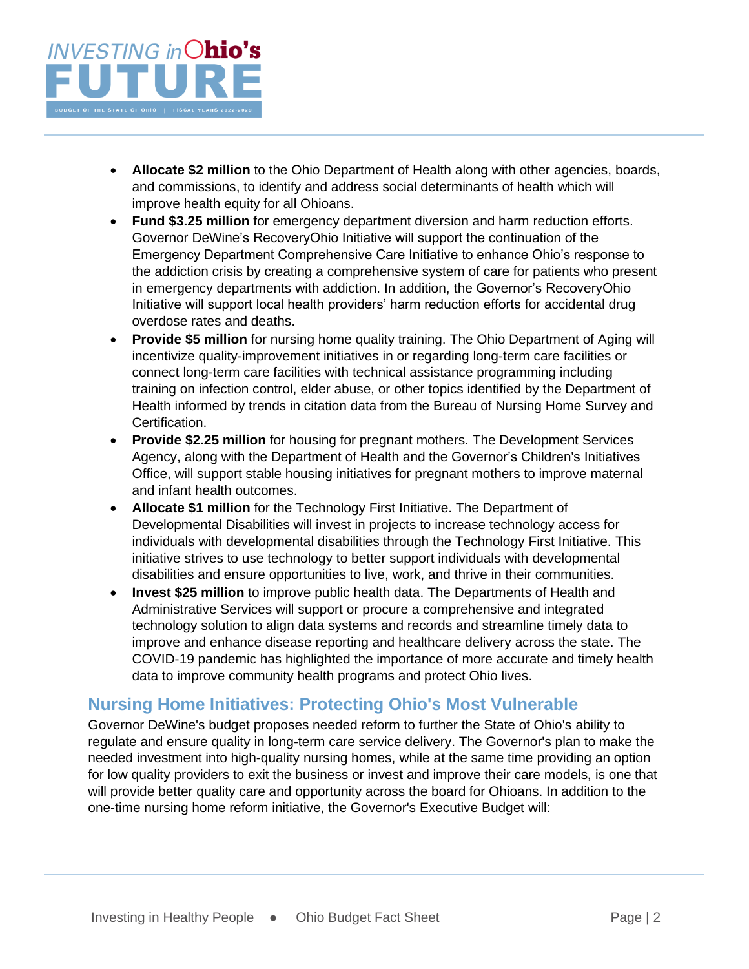

- **Allocate \$2 million** to the Ohio Department of Health along with other agencies, boards, and commissions, to identify and address social determinants of health which will improve health equity for all Ohioans.
- **Fund \$3.25 million** for emergency department diversion and harm reduction efforts. Governor DeWine's RecoveryOhio Initiative will support the continuation of the Emergency Department Comprehensive Care Initiative to enhance Ohio's response to the addiction crisis by creating a comprehensive system of care for patients who present in emergency departments with addiction. In addition, the Governor's RecoveryOhio Initiative will support local health providers' harm reduction efforts for accidental drug overdose rates and deaths.
- **Provide \$5 million** for nursing home quality training. The Ohio Department of Aging will incentivize quality-improvement initiatives in or regarding long-term care facilities or connect long-term care facilities with technical assistance programming including training on infection control, elder abuse, or other topics identified by the Department of Health informed by trends in citation data from the Bureau of Nursing Home Survey and Certification.
- **Provide \$2.25 million** for housing for pregnant mothers. The Development Services Agency, along with the Department of Health and the Governor's Children's Initiatives Office, will support stable housing initiatives for pregnant mothers to improve maternal and infant health outcomes.
- **Allocate \$1 million** for the Technology First Initiative. The Department of Developmental Disabilities will invest in projects to increase technology access for individuals with developmental disabilities through the Technology First Initiative. This initiative strives to use technology to better support individuals with developmental disabilities and ensure opportunities to live, work, and thrive in their communities.
- **Invest \$25 million** to improve public health data. The Departments of Health and Administrative Services will support or procure a comprehensive and integrated technology solution to align data systems and records and streamline timely data to improve and enhance disease reporting and healthcare delivery across the state. The COVID-19 pandemic has highlighted the importance of more accurate and timely health data to improve community health programs and protect Ohio lives.

## **Nursing Home Initiatives: Protecting Ohio's Most Vulnerable**

Governor DeWine's budget proposes needed reform to further the State of Ohio's ability to regulate and ensure quality in long-term care service delivery. The Governor's plan to make the needed investment into high-quality nursing homes, while at the same time providing an option for low quality providers to exit the business or invest and improve their care models, is one that will provide better quality care and opportunity across the board for Ohioans. In addition to the one-time nursing home reform initiative, the Governor's Executive Budget will: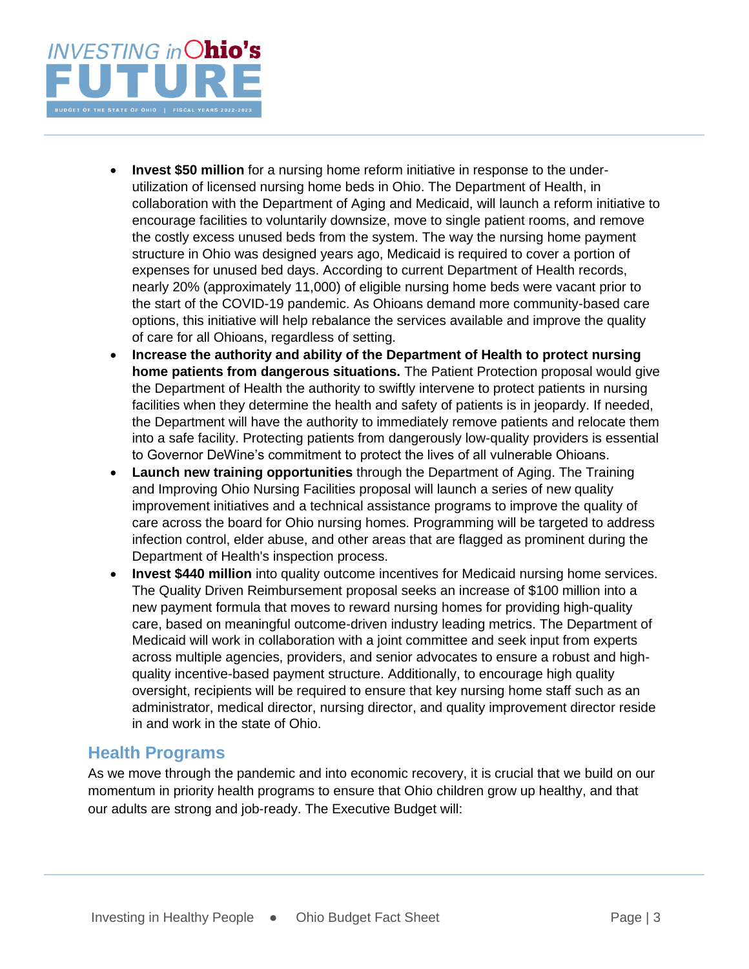

- **Invest \$50 million** for a nursing home reform initiative in response to the underutilization of licensed nursing home beds in Ohio. The Department of Health, in collaboration with the Department of Aging and Medicaid, will launch a reform initiative to encourage facilities to voluntarily downsize, move to single patient rooms, and remove the costly excess unused beds from the system. The way the nursing home payment structure in Ohio was designed years ago, Medicaid is required to cover a portion of expenses for unused bed days. According to current Department of Health records, nearly 20% (approximately 11,000) of eligible nursing home beds were vacant prior to the start of the COVID-19 pandemic. As Ohioans demand more community-based care options, this initiative will help rebalance the services available and improve the quality of care for all Ohioans, regardless of setting.
- **Increase the authority and ability of the Department of Health to protect nursing home patients from dangerous situations.** The Patient Protection proposal would give the Department of Health the authority to swiftly intervene to protect patients in nursing facilities when they determine the health and safety of patients is in jeopardy. If needed, the Department will have the authority to immediately remove patients and relocate them into a safe facility. Protecting patients from dangerously low-quality providers is essential to Governor DeWine's commitment to protect the lives of all vulnerable Ohioans.
- **Launch new training opportunities** through the Department of Aging. The Training and Improving Ohio Nursing Facilities proposal will launch a series of new quality improvement initiatives and a technical assistance programs to improve the quality of care across the board for Ohio nursing homes. Programming will be targeted to address infection control, elder abuse, and other areas that are flagged as prominent during the Department of Health's inspection process.
- **Invest \$440 million** into quality outcome incentives for Medicaid nursing home services. The Quality Driven Reimbursement proposal seeks an increase of \$100 million into a new payment formula that moves to reward nursing homes for providing high-quality care, based on meaningful outcome-driven industry leading metrics. The Department of Medicaid will work in collaboration with a joint committee and seek input from experts across multiple agencies, providers, and senior advocates to ensure a robust and highquality incentive-based payment structure. Additionally, to encourage high quality oversight, recipients will be required to ensure that key nursing home staff such as an administrator, medical director, nursing director, and quality improvement director reside in and work in the state of Ohio.

### **Health Programs**

As we move through the pandemic and into economic recovery, it is crucial that we build on our momentum in priority health programs to ensure that Ohio children grow up healthy, and that our adults are strong and job-ready. The Executive Budget will: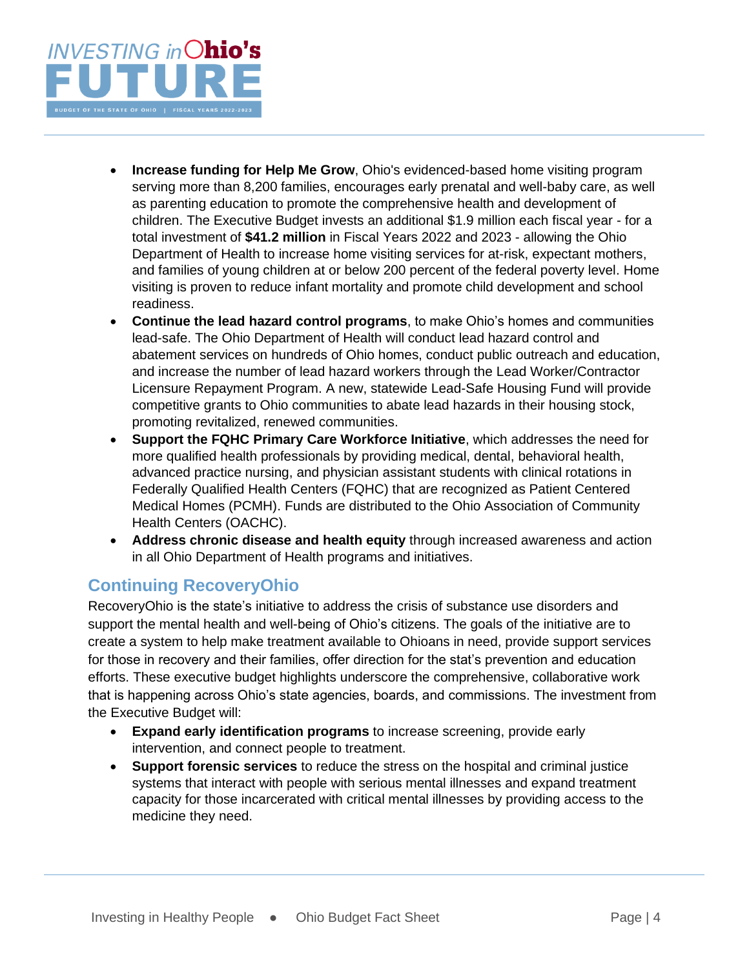

- **Increase funding for Help Me Grow**, Ohio's evidenced-based home visiting program serving more than 8,200 families, encourages early prenatal and well-baby care, as well as parenting education to promote the comprehensive health and development of children. The Executive Budget invests an additional \$1.9 million each fiscal year - for a total investment of **\$41.2 million** in Fiscal Years 2022 and 2023 - allowing the Ohio Department of Health to increase home visiting services for at-risk, expectant mothers, and families of young children at or below 200 percent of the federal poverty level. Home visiting is proven to reduce infant mortality and promote child development and school readiness.
- **Continue the lead hazard control programs**, to make Ohio's homes and communities lead-safe. The Ohio Department of Health will conduct lead hazard control and abatement services on hundreds of Ohio homes, conduct public outreach and education, and increase the number of lead hazard workers through the Lead Worker/Contractor Licensure Repayment Program. A new, statewide Lead-Safe Housing Fund will provide competitive grants to Ohio communities to abate lead hazards in their housing stock, promoting revitalized, renewed communities.
- **Support the FQHC Primary Care Workforce Initiative**, which addresses the need for more qualified health professionals by providing medical, dental, behavioral health, advanced practice nursing, and physician assistant students with clinical rotations in Federally Qualified Health Centers (FQHC) that are recognized as Patient Centered Medical Homes (PCMH). Funds are distributed to the Ohio Association of Community Health Centers (OACHC).
- **Address chronic disease and health equity** through increased awareness and action in all Ohio Department of Health programs and initiatives.

## **Continuing RecoveryOhio**

RecoveryOhio is the state's initiative to address the crisis of substance use disorders and support the mental health and well-being of Ohio's citizens. The goals of the initiative are to create a system to help make treatment available to Ohioans in need, provide support services for those in recovery and their families, offer direction for the stat's prevention and education efforts. These executive budget highlights underscore the comprehensive, collaborative work that is happening across Ohio's state agencies, boards, and commissions. The investment from the Executive Budget will:

- **Expand early identification programs** to increase screening, provide early intervention, and connect people to treatment.
- **Support forensic services** to reduce the stress on the hospital and criminal justice systems that interact with people with serious mental illnesses and expand treatment capacity for those incarcerated with critical mental illnesses by providing access to the medicine they need.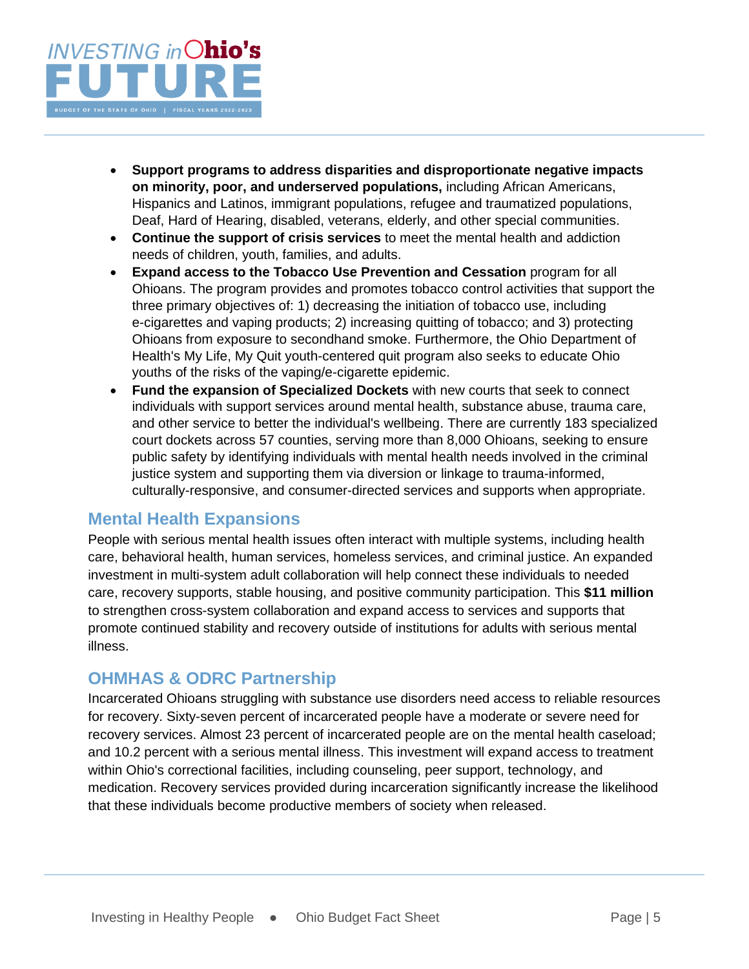

- **Support programs to address disparities and disproportionate negative impacts on minority, poor, and underserved populations,** including African Americans, Hispanics and Latinos, immigrant populations, refugee and traumatized populations, Deaf, Hard of Hearing, disabled, veterans, elderly, and other special communities.
- **Continue the support of crisis services** to meet the mental health and addiction needs of children, youth, families, and adults.
- **Expand access to the Tobacco Use Prevention and Cessation** program for all Ohioans. The program provides and promotes tobacco control activities that support the three primary objectives of: 1) decreasing the initiation of tobacco use, including e-cigarettes and vaping products; 2) increasing quitting of tobacco; and 3) protecting Ohioans from exposure to secondhand smoke. Furthermore, the Ohio Department of Health's My Life, My Quit youth-centered quit program also seeks to educate Ohio youths of the risks of the vaping/e-cigarette epidemic.
- **Fund the expansion of Specialized Dockets** with new courts that seek to connect individuals with support services around mental health, substance abuse, trauma care, and other service to better the individual's wellbeing. There are currently 183 specialized court dockets across 57 counties, serving more than 8,000 Ohioans, seeking to ensure public safety by identifying individuals with mental health needs involved in the criminal justice system and supporting them via diversion or linkage to trauma-informed, culturally-responsive, and consumer-directed services and supports when appropriate.

## **Mental Health Expansions**

People with serious mental health issues often interact with multiple systems, including health care, behavioral health, human services, homeless services, and criminal justice. An expanded investment in multi-system adult collaboration will help connect these individuals to needed care, recovery supports, stable housing, and positive community participation. This **\$11 million** to strengthen cross-system collaboration and expand access to services and supports that promote continued stability and recovery outside of institutions for adults with serious mental illness.

### **OHMHAS & ODRC Partnership**

Incarcerated Ohioans struggling with substance use disorders need access to reliable resources for recovery. Sixty-seven percent of incarcerated people have a moderate or severe need for recovery services. Almost 23 percent of incarcerated people are on the mental health caseload; and 10.2 percent with a serious mental illness. This investment will expand access to treatment within Ohio's correctional facilities, including counseling, peer support, technology, and medication. Recovery services provided during incarceration significantly increase the likelihood that these individuals become productive members of society when released.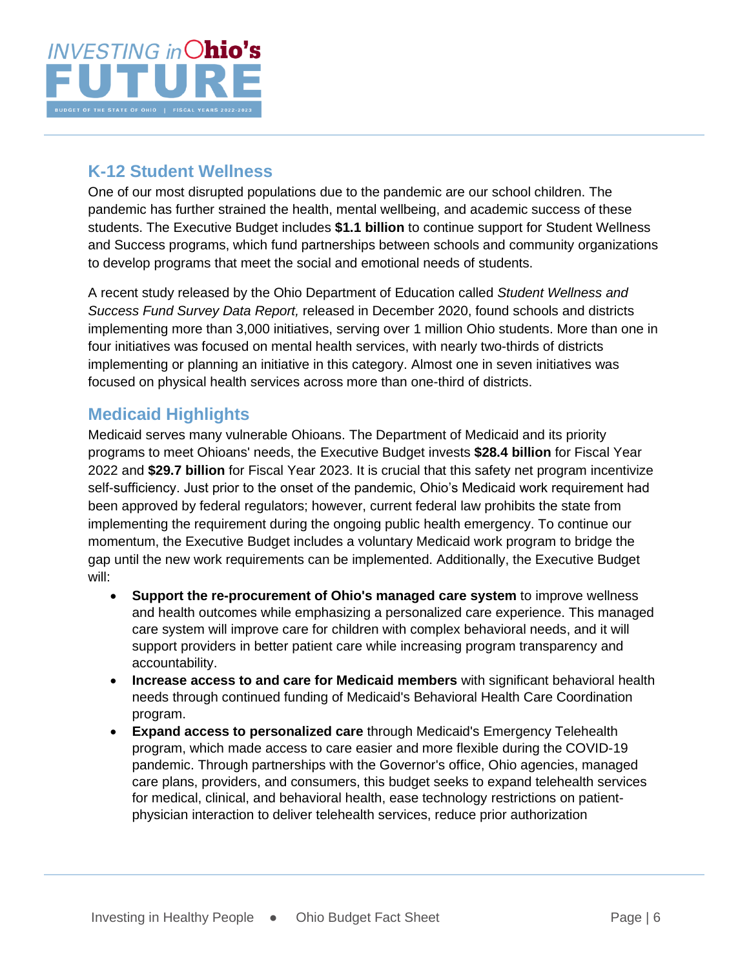

## **K-12 Student Wellness**

One of our most disrupted populations due to the pandemic are our school children. The pandemic has further strained the health, mental wellbeing, and academic success of these students. The Executive Budget includes **\$1.1 billion** to continue support for Student Wellness and Success programs, which fund partnerships between schools and community organizations to develop programs that meet the social and emotional needs of students.

A recent study released by the Ohio Department of Education called *Student Wellness and Success Fund Survey Data Report,* released in December 2020, found schools and districts implementing more than 3,000 initiatives, serving over 1 million Ohio students. More than one in four initiatives was focused on mental health services, with nearly two-thirds of districts implementing or planning an initiative in this category. Almost one in seven initiatives was focused on physical health services across more than one-third of districts.

## **Medicaid Highlights**

Medicaid serves many vulnerable Ohioans. The Department of Medicaid and its priority programs to meet Ohioans' needs, the Executive Budget invests **\$28.4 billion** for Fiscal Year 2022 and **\$29.7 billion** for Fiscal Year 2023. It is crucial that this safety net program incentivize self-sufficiency. Just prior to the onset of the pandemic, Ohio's Medicaid work requirement had been approved by federal regulators; however, current federal law prohibits the state from implementing the requirement during the ongoing public health emergency. To continue our momentum, the Executive Budget includes a voluntary Medicaid work program to bridge the gap until the new work requirements can be implemented. Additionally, the Executive Budget will:

- **Support the re-procurement of Ohio's managed care system** to improve wellness and health outcomes while emphasizing a personalized care experience. This managed care system will improve care for children with complex behavioral needs, and it will support providers in better patient care while increasing program transparency and accountability.
- **Increase access to and care for Medicaid members** with significant behavioral health needs through continued funding of Medicaid's Behavioral Health Care Coordination program.
- **Expand access to personalized care** through Medicaid's Emergency Telehealth program, which made access to care easier and more flexible during the COVID-19 pandemic. Through partnerships with the Governor's office, Ohio agencies, managed care plans, providers, and consumers, this budget seeks to expand telehealth services for medical, clinical, and behavioral health, ease technology restrictions on patientphysician interaction to deliver telehealth services, reduce prior authorization